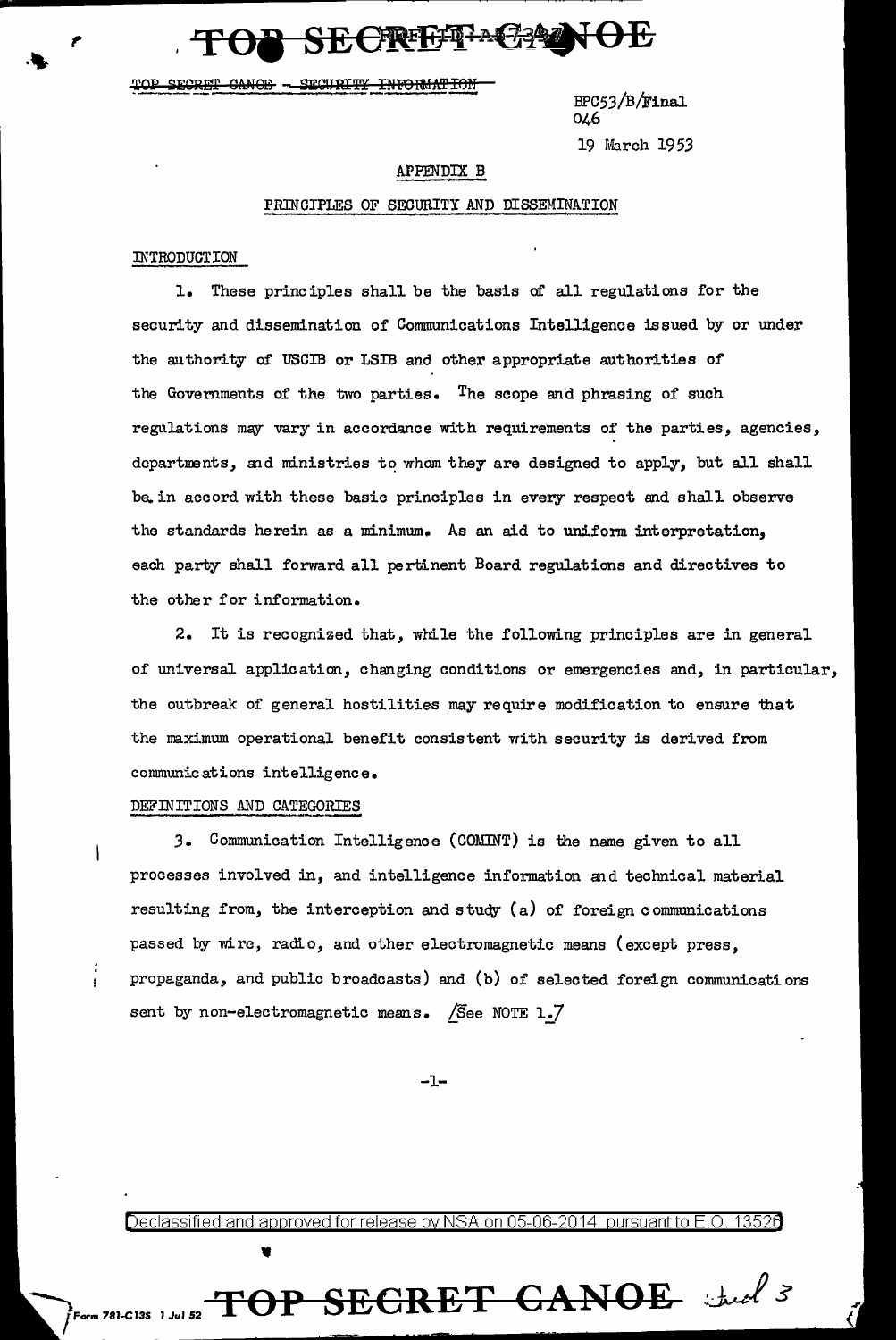SE CREEFFACA

TOP SECRET CANOF - SECURITY INFORMATION

 $BPC53/B/Final$ 046 19 March 1953

#### APPENDlX B

#### PRINCIPLES OF SECURITY AND DISSEMINATION

### INTRODUCTION

l. These principles shall be the basis of all regulations for the security and dissemination of Communications Intelligence issued by or under the authority of USCIB or LSIB and other appropriate authorities of the Governments of the two parties. The scope and phrasing of such regulations may vary in accordance with requirements of the parties, agencies, dcpartments, and ministries to whom they are designed to apply, but all shall be. in accord with these basic principles in every respect and shall observe the standards herein as a minimum. As an aid to uniform interpretation, each party shall forward all pertinent Board regulations and directives to the other for information.

2. It is recognized that, while the following principles are in general of universal application, changing conditions or emergencies and, in particular, the outbreak of general hostilities may require modification to ensure that the maximum operational benefit consistent with security is derived from communications intelligence.

#### DEFINITIONS AND CATEGORIES

•

*3.* Communication Intelligence (COMlNT) is the name given to all processes involved in, and intelligence information and technical material resulting from, the interception and study (a) of foreign communications passed by wire, radio, and other electromagnetic means (except press, propaganda, and public broadcasts) and (b) of selected foreign communications sent by non-electromagnetic means. /See NOTE  $1.7$ 

-1-

Declassified and approved for release by NSA on 05-06-2014 pursuantto E.O. 1352a

1 Jul 52 **TOP SECRET C1&1NOE**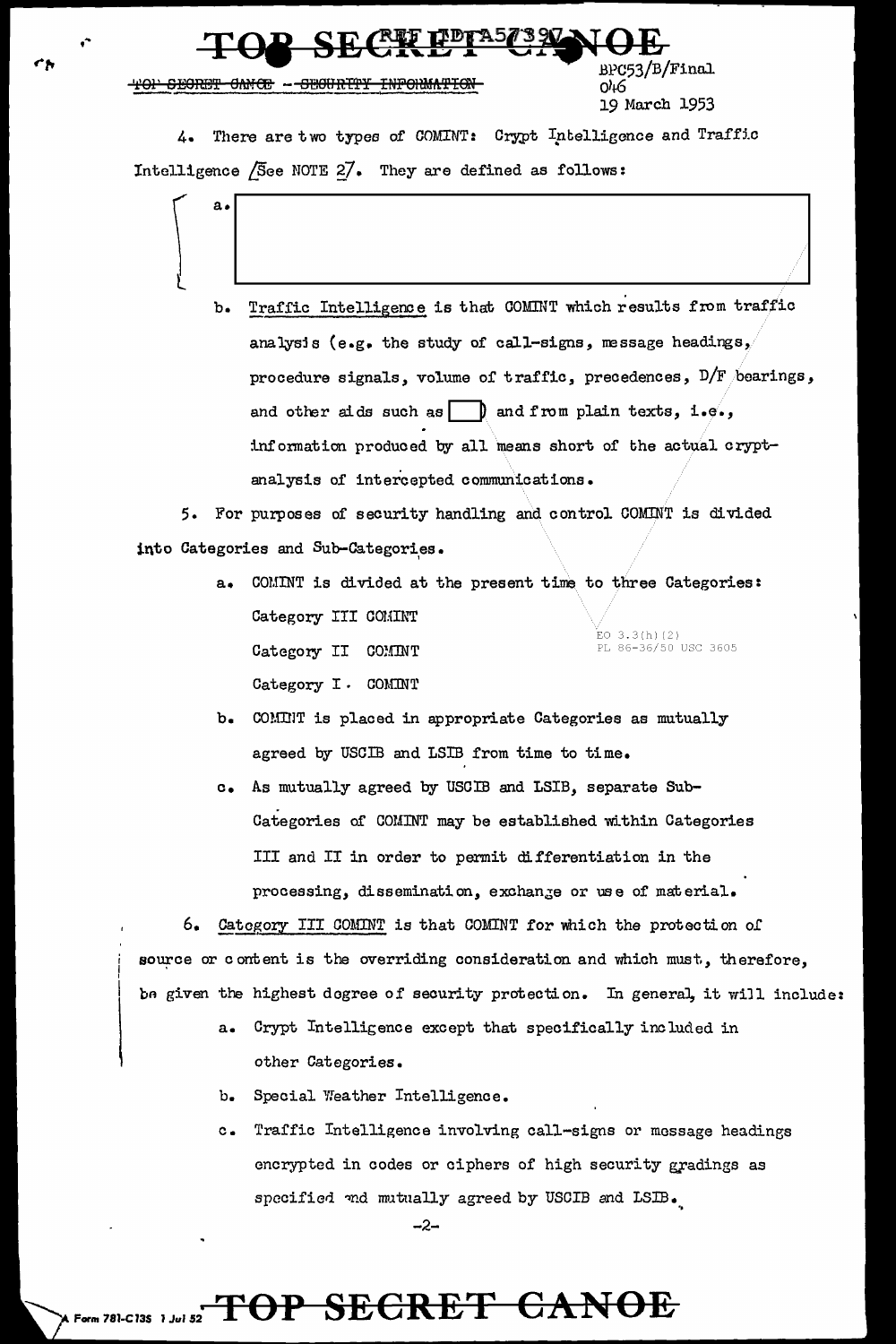#### <del>ONICE - SECURITY</del> <del>INFORMATION</del>

/B/Final იარ 19 March 1953

4. There are two types of COMINT: Crypt Intelligence and Traffic Intelligence /See NOTE 27. They are defined as follows:

> Traffic Intelligence is that COMINT which results from traffic  $b_{\bullet}$ analysis (e.g. the study of call-signs, message headings, procedure signals, volume of traffic, precedences,  $D/F$  bearings, and other aids such as  $\Box$  and from plain texts, i.e., information produced by all means short of the actual cryptanalysis of intercepted communications.

5. For purposes of security handling and control COMINT is divided into Categories and Sub-Categories.

- $a_{\bullet}$ COMINT is divided at the present time to three Categories: Category III COMINT ,<br>EO 3.3(h)(2)<br>PL 86-36/50 USC 3605 Category II COMINT Category I. COMINT
- b. COMINT is placed in appropriate Categories as mutually agreed by USCIB and LSIB from time to time.
- As mutually agreed by USCIB and LSIB, separate Sub $c_{\bullet}$ Categories of COMINT may be established within Categories III and II in order to permit differentiation in the processing, dissemination, exchange or use of material.

6. Category III COMINT is that COMINT for which the protection of source or content is the overriding consideration and which must, therefore, be given the highest dogree of security protection. In general, it will include:

- Crypt Intelligence except that specifically included in  $a<sub>z</sub>$ other Categories.
- Special Weather Intelligence.  $b_{\bullet}$
- Traffic Intelligence involving call-signs or message headings  $c_{\bullet}$ encrypted in codes or ciphers of high security gradings as specified and mutually agreed by USCIB and LSIB.

 $-2-$ 

### TOP SECRET CANOE Form 781-C135 1 Jul 52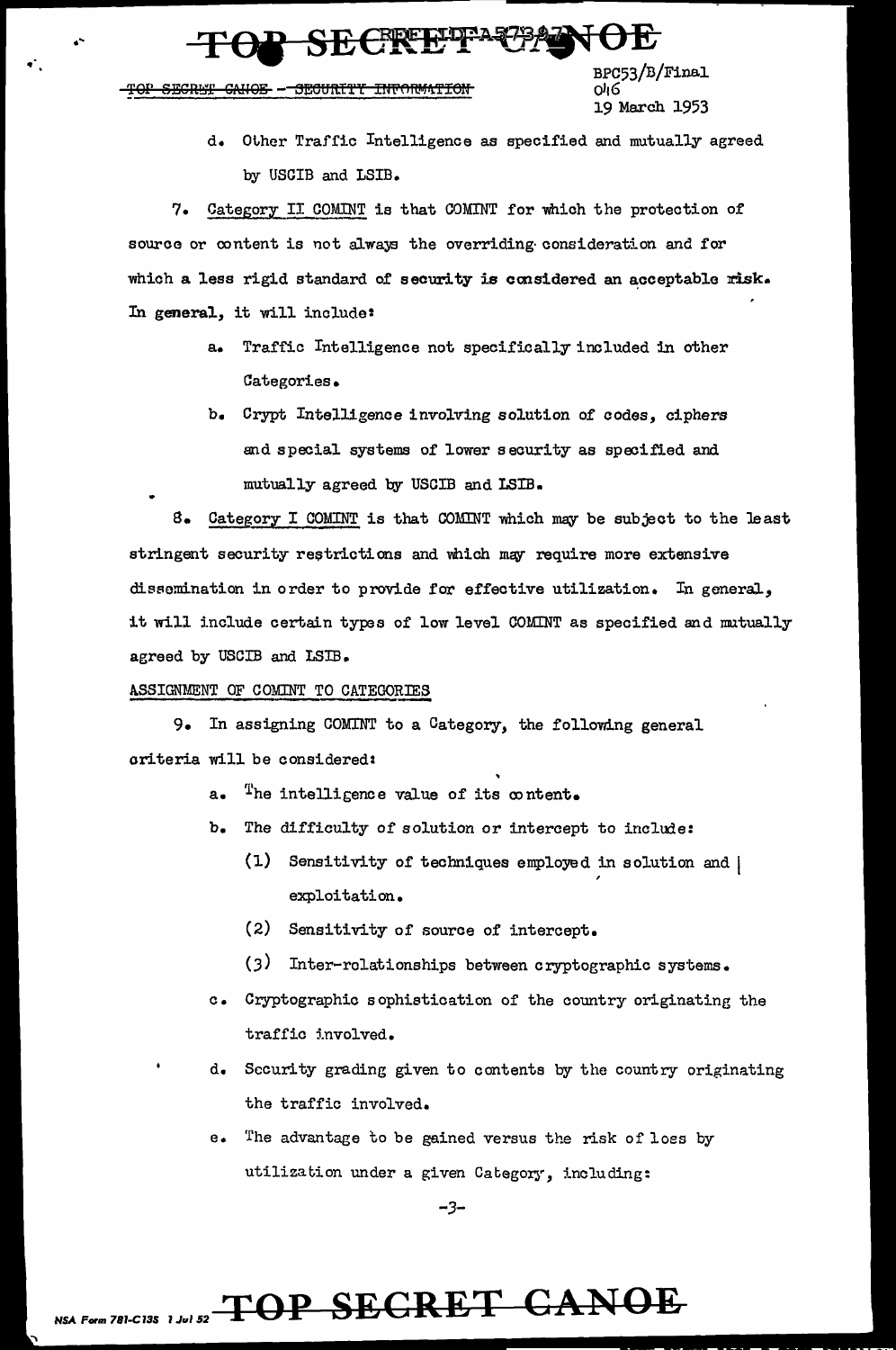BPC53/B/Final o46 19 March 1953

d. Other Traffic Intelligence as specified and mutually agreed by USCIB and LSIB.

7. Category II COMINT is that COMINT for which the protection of source or content is not always the overriding consideration and for which a less rigid standard of security is considered an acceptable risk. In general, it will include:

- a. Traffic Intelligence not specifically included in other Categories.
- b. Crypt Intelligence involving solution of codes, ciphers and special systems of lower security as specified and mutually agreed by USCIB and LSIB.

8. Category I COMINT is that COMINT which may be subject to the least stringent security restrictions and which may require more extensive dissemination in order to provide for effective utilization. In general, it will include certain types of low level COMINT as specified and mutually agreed by USCIB and LSIB.

#### ASSIGNMENT OF COMINT TO CATEGORIES

9. In assigning COMINT to a Category, the following general oriteria will be considered:

- a. The intelligence value of its content.
- b. The difficulty of solution or intercept to include:
	- (1) Sensitivity of techniques employed in solution and | exploitation.
	- (2) Sensitivity of source of intercept.
	- (3) Inter-rolationships between cryptographic systems.
- c. Cryptographic sophistication of the country originating the traffic involved.
- d. Security grading given to contents by the country originating the traffic involved.
- e. The advantage to be gained versus the risk of loss by utilization under a given Category, including:

 $-3-$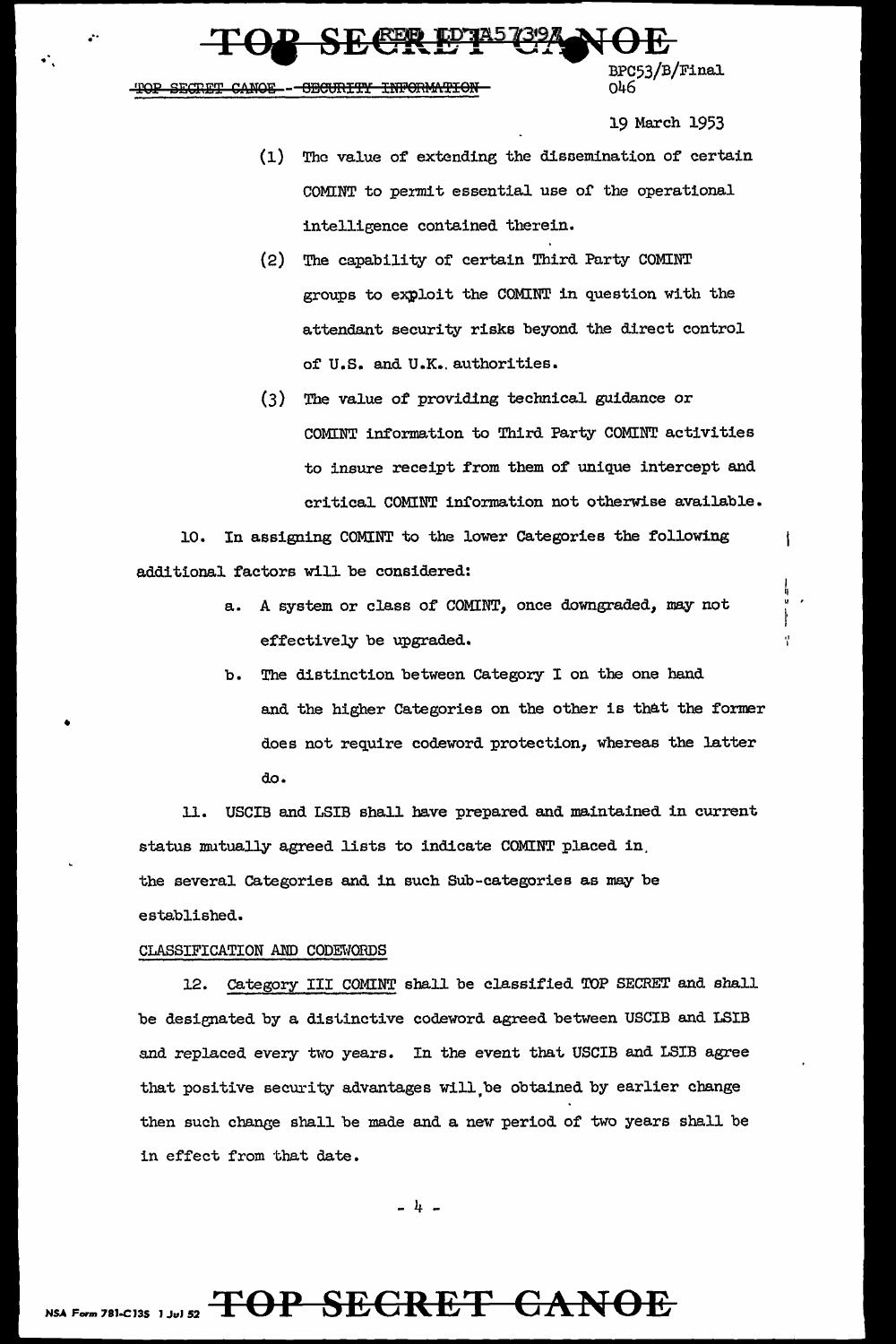**SECRETE PRESSERVOE** 

TOP SECRET CANOE -- OBOURITY INFORMATION

 $\frac{1}{\sqrt{2}}$ 

•

19 March 1953

 $\mathbf t$ 

Ý

- (1) The value of extending the disoemination of certain COMINT to permit essential use of the operational intelligence contained therein.
- (2) The capability of certain Third Party COMINT groups to exploit the COMINT in question with the attendant security risks beyond the direct control of U.S. and U.K. authorities.
- (3) The value of providing technical guidance or COMINT information to Third Party COMINT activities to insure receipt from them of unique intercept and critical COMINT information not otherwise available.

10. In assigning COMINT to the lower Categories the following additional factors will be considered:

- a. A system or class of COMINT, once downgraded, may not effectively be upgraded.
- b. The distinction between Category I on the one hand and the higher Categories on the other is that the former does not require codeword protection, whereas the latter do.

11. USCIB and LSIB shall have prepared and maintained in current status mutually agreed lists to indicate COMINT placed in. the several Categories and in such Sub-categories as may be established.

#### CLASSIFICATION AND CODEWORDS

12. Category III COMINT shall be classified TOP SECRET and shall be designated by a distinctive codeword agreed between USCIB and LSIB and replaced every two years. In the event that USCIB and LSIB agree that positive security advantages will,be obtained by earlier change then such change shall be made and a new period of two years shall be in effect from that date.

 $-4 -$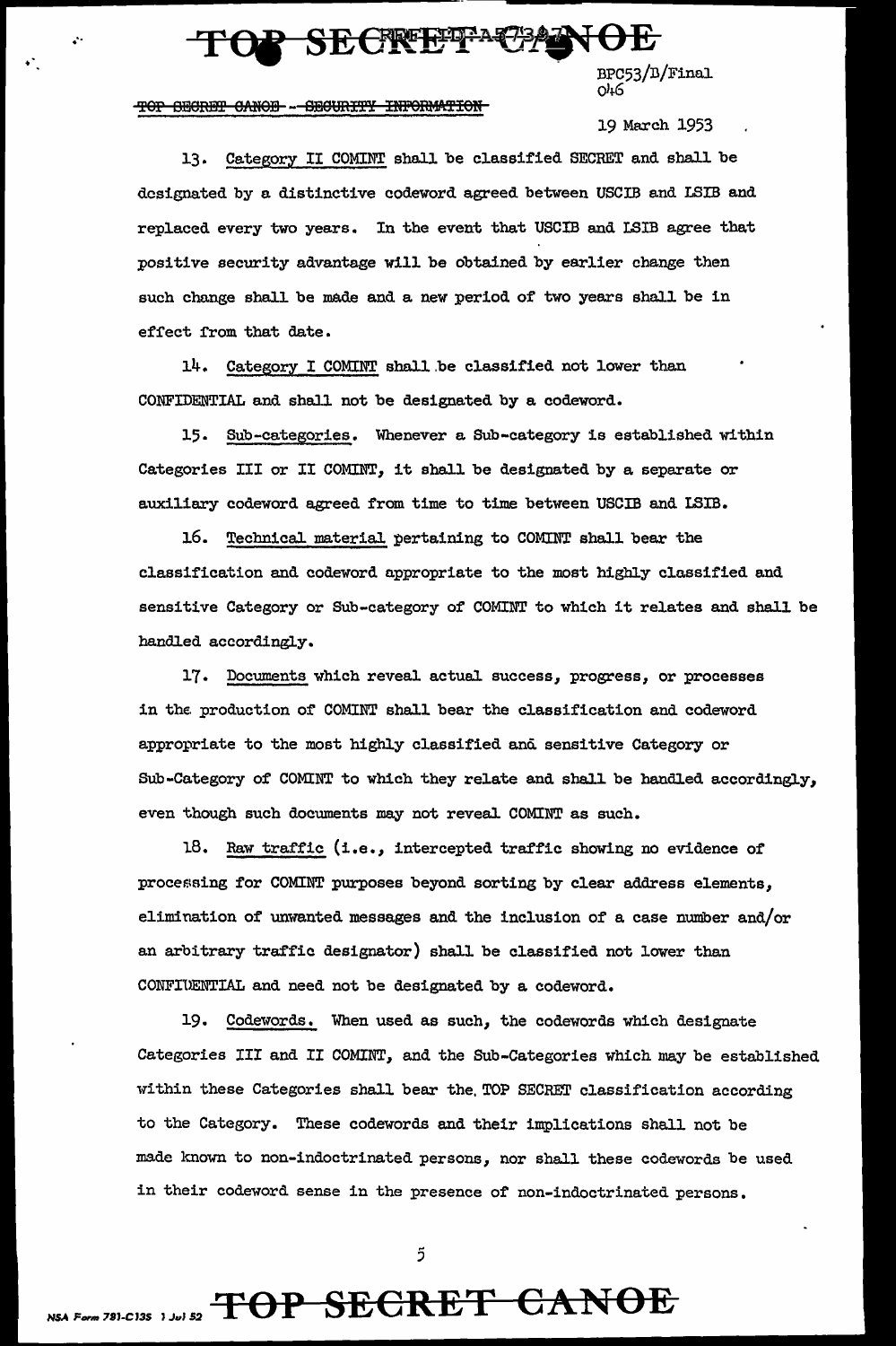### SECRETA

 $\frac{BPC53}{D/Final}$ 

#### TOP SECRET CANOE -- SECURITY INFORMATION

•

19 March 1953

13. Category II COMINT shall be classified SECRET and shall be designated by a distinctive codeword agreed between USCIB and LSIB and replaced every two years. In the event that USCIB and LSIB agree that positive security advantage will be obtained by earlier change then such change shall be made and a new period of two years shall be in effect from that date.

14. Category I COMINT shall be classified not lower than CONFIDENTIAL and shall not be designated by a codeword.

15. Sub-categories. Whenever a Sub-category is established within Categories III or II COMINT, it shall be designated by a separate or auxiliary codeword agreed from time to time between USCIB and ISIB.

16. Technical material pertaining to COMINT shall bear the classification and codeword appropriate to the most highly classified and sensitive Category or Sub-category of COMINT to which it relates and shall be handled accordingly.

17. Documents which reveal actual success, progress, or processes in the production of COMINT shall bear the classification and codeword appropriate to the most highly classified and sensitive Category or Sub-Category of COMINT to which they relate and shall be handled accordingly, even though such documents may not reveal COMINT as such.

18. Raw traffic (i.e., intercepted traffic showing no evidence of processing for COMINT purposes beyond sorting by clear address elements, elimination of unwanted messages and the inclusion of a case number and/or an arbitrary traffic designator) shall be classified not lower than CONFIUENTIAL and need not be designated by a codeword.

19. Codewords. When used as such, the codewords which designate Categories III and II COMINT, and the Sub-Categories which may be established within these Categories shall bear the. TOP SECRET classification according to the Category. These codewords and their implications shall not be made known to non-indoctrinated persons, nor shall these codewords be used in their codeword sense in the presence of non-indoctrinated persons.

5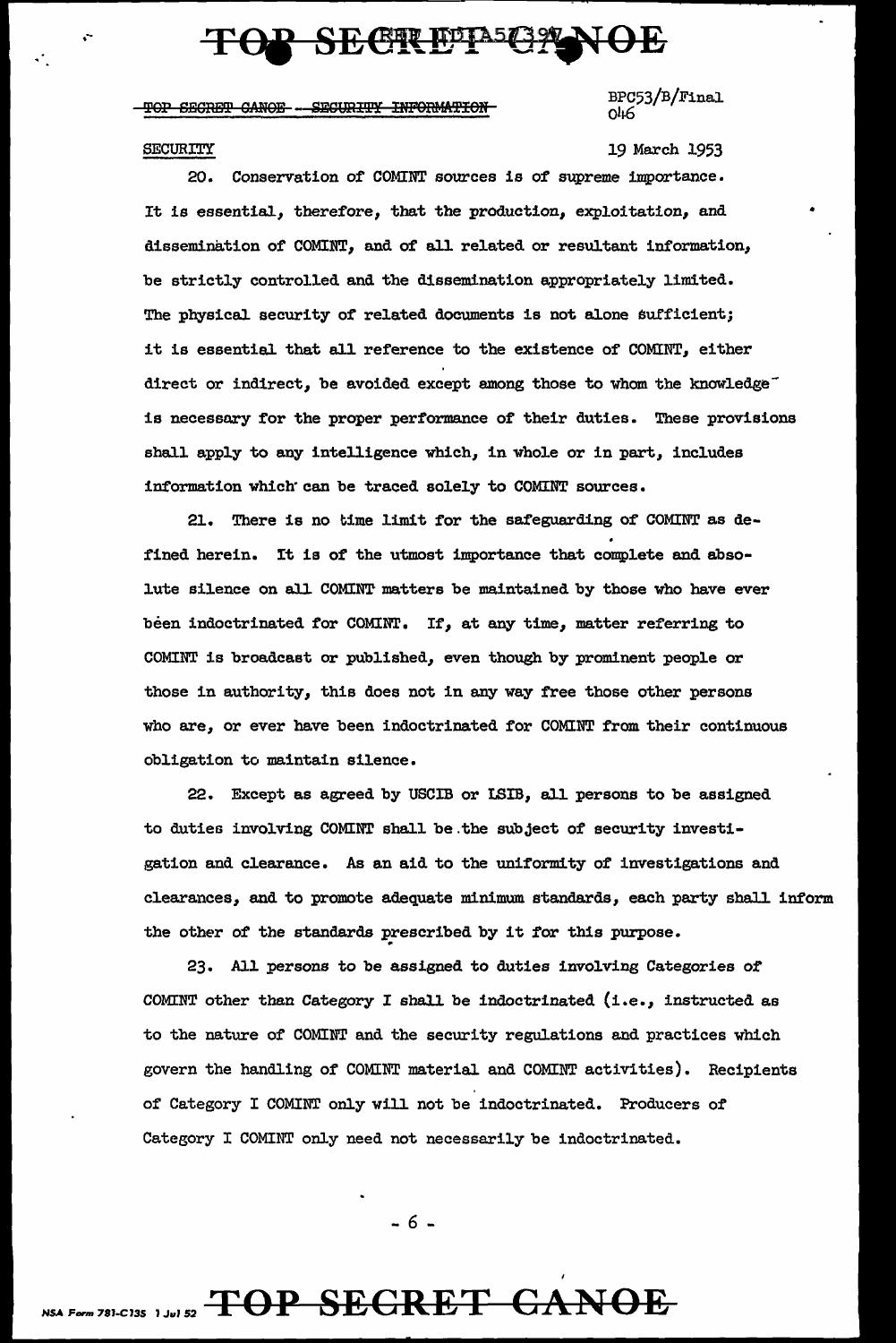### **SECTRETA5G29**

#### TOP SECRET CANOE -- SECURITY INFORMATION

BPC53/B/Final.  $Q<sub>46</sub>$ 

#### SECURITY

.--

19 March 1953

•

20. Conservation of COMINT sources is of supreme importance. It is essential, therefore, that the production, exploitation, and dissemination of COMINT, and of all related or resultant information, be strictly controlled and the dissemination appropriately limited. The physical security of related documents is not alone sufficient; it is essential that all reference to the existence of COMINT, either direct or indirect, be avoided except among those to whom the knowledge<sup>-</sup> is necessary for the proper performance of their duties. These provisions shall apply to any intelligence which, in whole or in part, includes information which· can be traced solely to COMINT sources.

21. There is no time limit for the safeguarding of COMINT as defined herein. It is of the utmost importance that complete and absolute silence on all COMINT matters be maintained by those who have ever been indoctrinated for COMINT. If, at any time, matter referring to COMINT is broadcast or published, even though by prominent people or those in authority, this does not in any way free those other persons who are, or ever have been indoctrinated for COMINT from their continuous obligation to maintain silence.

22. Except as agreed by USCIB or LSIB, all persons to be assigned to duties involving COMINT shall be.the subject of security investigation and clearance. As an aid to the uniformity of investigations and clearances, and to promote adequate minimum standards, each party shall. inform the other of the standards prescribed by it for this purpose.

23. AJ.l persons to be assigned to duties involving Categories of COMINT other than Category I shall. be indoctrinated (i.e., instructed as to the nature of COMINT and the security regulations and practices which govern the handling of COMINT material and COMINT activities). Recipients of Category I COMINT only will. not be indoctrinated. Producers of Category I COMINT only need not necessarily be indoctrinated.

- 6 -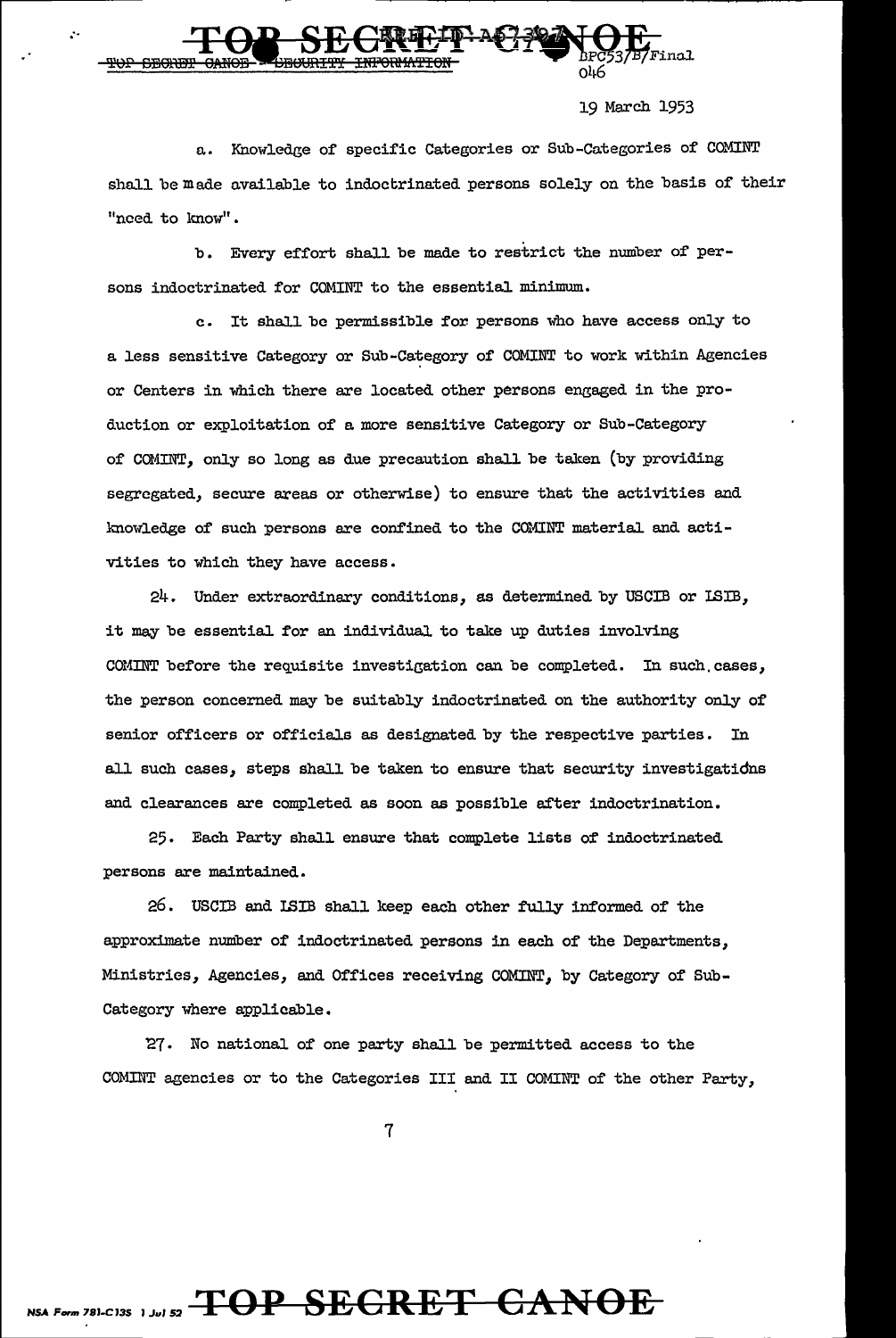Final იარ

19 March 1953

a. Knowledge of specific Categories or Sub-Categories of COMINT shall be made available to indoctrinated persons solely on the basis of their "need to know".

b. Every effort shall be made to restrict the number of persons indoctrinated for COMINT to the essential minimum.

c. It shall be permissible for persons who have access only to a less sensitive Category or Sub-Category of COMINT to work within Agencies or Centers in which there are located other persons engaged in the production or exploitation of a more sensitive Category or Sub-Category of COMINT, only so long as due precaution shall be taken (by providing segregated, secure areas or otherwise) to ensure that the activities and knowledge of such persons are confined to the COMINT material and activities to which they have access.

24. Under extraordinary conditions, as determined by USCIB or ISIB, it may be essential for an individual to take up duties involving COMINT before the requisite investigation can be completed. In such cases, the person concerned may be suitably indoctrinated on the authority only of senior officers or officials as designated by the respective parties. In all such cases, steps shall be taken to ensure that security investigatidns and clearances are completed as soon as possible after indoctrination.

25. Each Party shall ensure that complete lists of indoctrinated persons are maintained.

26. USCIB and ISIB shall keep each other fully informed of the approximate number of indoctrinated persons in each of the Departments, Ministries, Agencies, and Offices receiving COMINT, by Category of Sub-Category where applicable.

'27. No national of one party shall be permitted access to the COMINT agencies or to the Categories III and II COMINT of the other Party,

7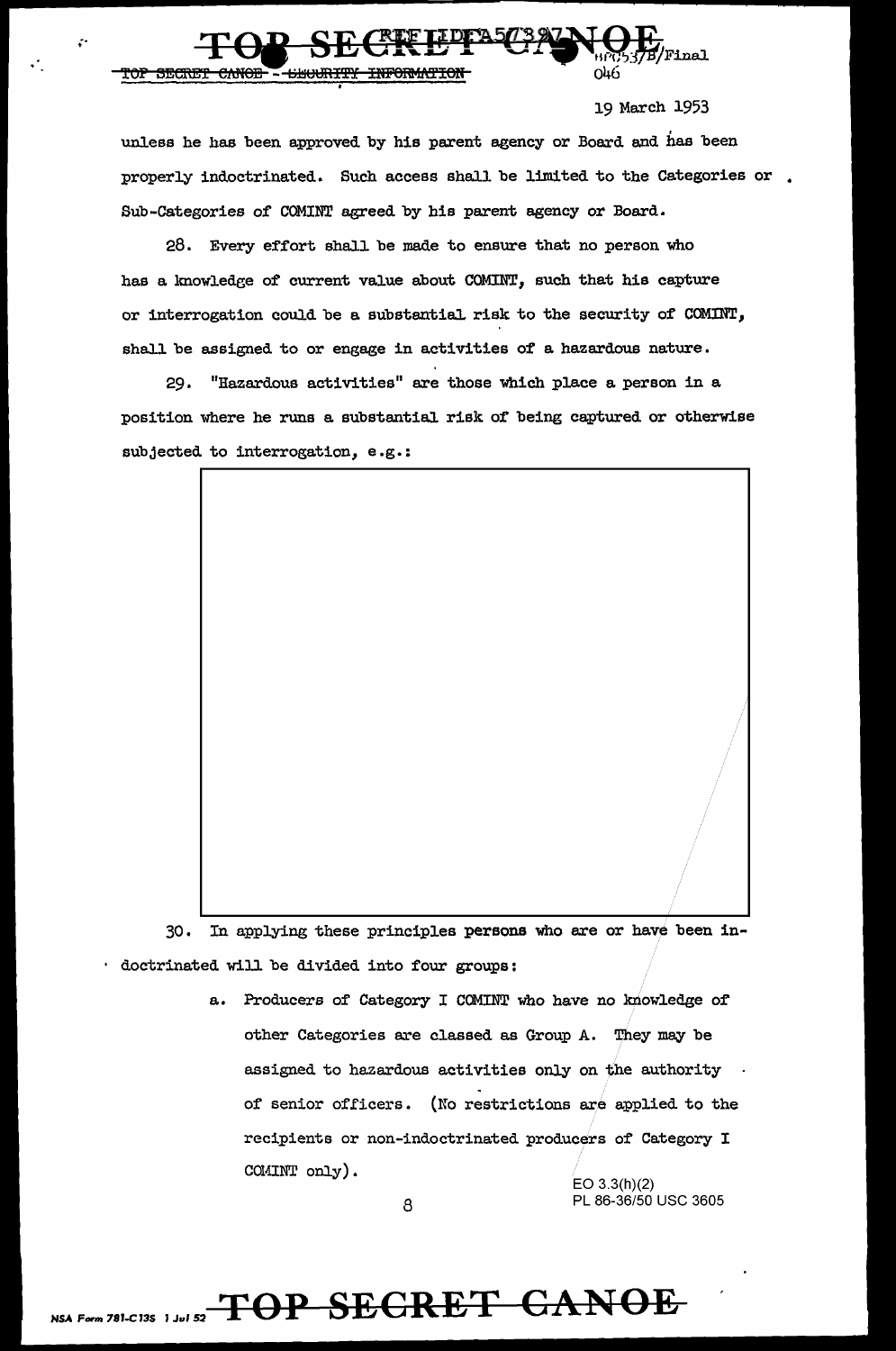

19 March 1953

unless he has been approved by his parent agency or Board and has been properly indoctrinated. Such access shall be limited to the Categories or. Sub-Categories of COMINT agreed by his parent agency or Board.

28. Every effort shall be made to ensure that no person who has a knowledge of current value about COMINT, such that his capture or interrogation could be a substentiaJ. risk to the security of COMINT, shall be assigned to or engage in activities of a hazardous nature.

29. "Hazardous activities" are those which place a person in a position where he runs a. substantial risk of being captured or otherwise subjected to interrogation, e.g.:

30. In applying these principles persons who are or have been indoctrinated will be divided into four groups:

> a. Producers of Category I COMINT who have no knowledge of other Categories are classed as Group A. They may be assigned to hazardous activities only on the authority .<br>of senior officers. (No restrictions are applied to the recipients or non-indoctrinated producers of' Category I COMINT only).

EO 3.3(h)(2) 8 PL 86-36/50 USC 3605

;·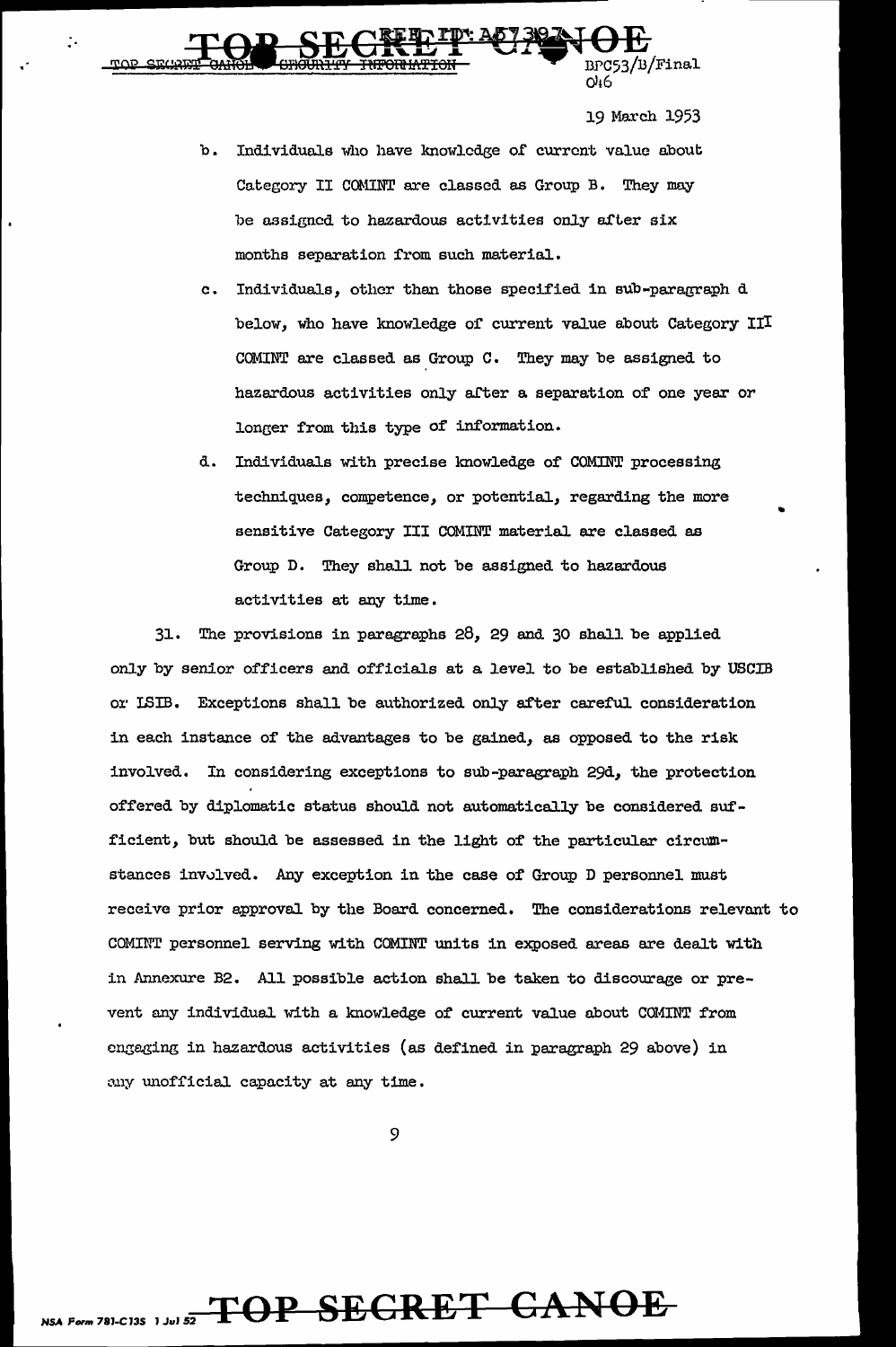())46 19 March 1953

b. Individuals who have knowledge of current value about Category II COMINT are classed as Group B. They may be assigned to hazardous activities only after six months separation from such material.

TOP SECRETTLE 20238 NOE

- c. Individuals, other than those specified in sub-paragraph d below, who have knowledge of current value about Category III COMINT are classed as Group C. They may be assigned to hazardous activities only after a separation of one year or longer from this type of information.
- d. Individuals with precise knowledge of COMINT processing techniques, competence, or potential, regarding the more sensitive Category III COMINT material are classed as Group D. They shall not be assigned to hazardous activities at any time.

 $31.$  The provisions in paragraphs  $28, 29$  and  $30$  shall be applied only by senior officers and officials at a level to be established by USCIB or ISIB. Exceptions shall be authorized only after careful consideration in each instance of' the advantages to be gained, as opposed to the risk involved. In considering exceptions to sub-paragraph 29d, the protection offered by diplomatic status should not automatically be considered sufficient, but should be assessed in the light of the particular circumstances involved. Any exception in the case of Group D personnel must receive prior approval by the Board concerned. The considerations relevant to COMINT personnel serving with COMINT units in exposed areas are dealt with in Annexure B2. All possible action shall be taken to discourage or prevent any individual with a knowledge of current value about COMINT from engaging in hazardous activities (as defined in paragraph 29 above) in any unofficial capacity at any time.

9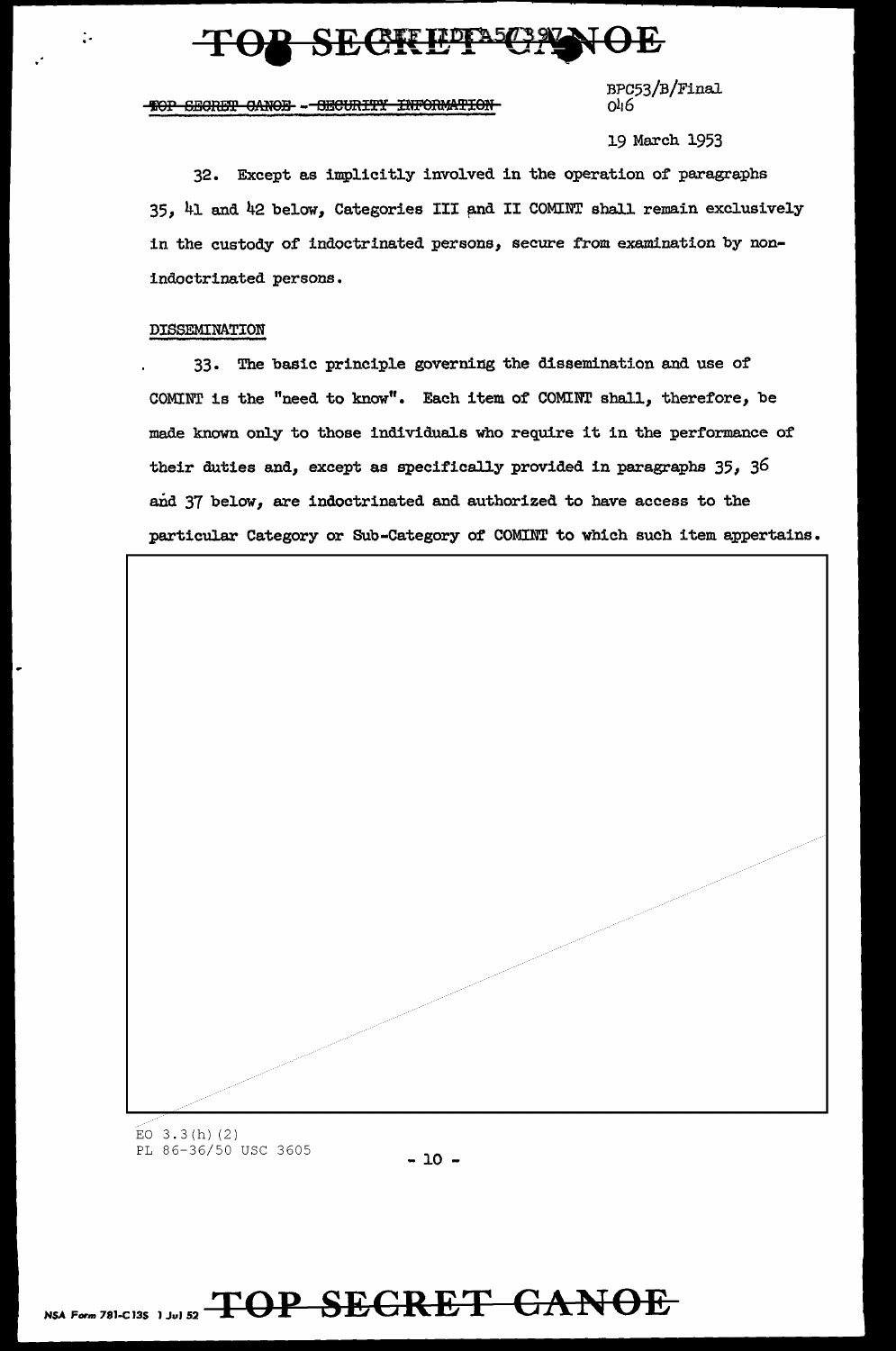### TOP SECREPT SCAL

-HOP SECRET CANOE - OECURITY INFORMATION

BPC53/B/Final 0116

19 March 1953

32. Except as implicitly involved in the operation of paragraphs 35, 41 and 42 below, Categories III and II COMINT shall remain exclusively in the custody of indoctrinated persons, secure from examination by nonindoctrinated persons.

### DISSEMINATION

 $\ddot{\cdot}$ 

33. The basic principle governing the dissemination and use of COMINT is the "need to know". Each item of' COMINT shall, therefore, be made known only to those individuals who require it in the performance of their duties and, except as specifically provided in paragraphs  $35$ ,  $36$ and 37 below, are indoctrinated and authorized to have access to the particular Category or Sub-Category of COMINT to which such item appertains.



EO  $3.3(h)$  (2) PL 86-36/50 USC 3605 - 10 -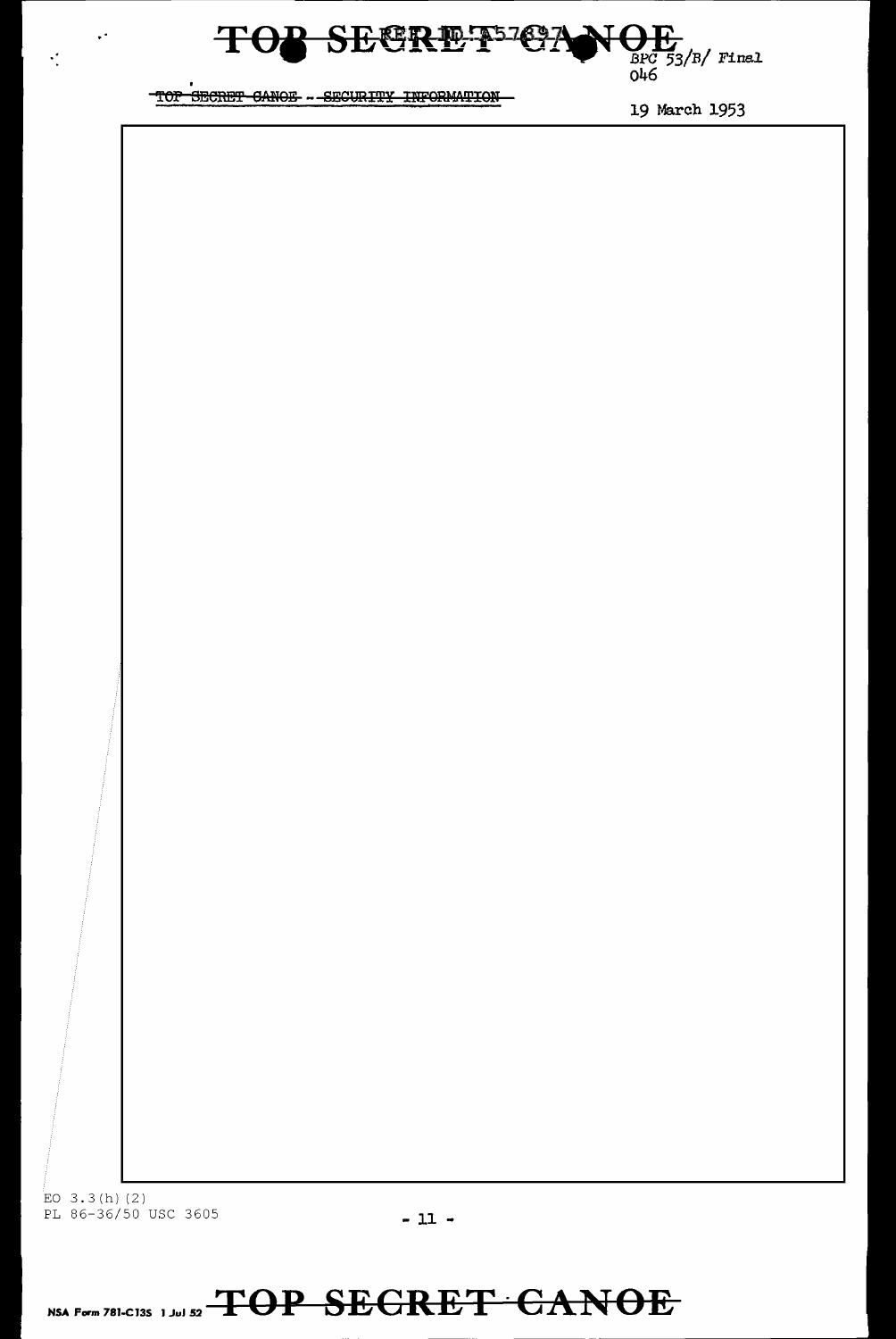

 $\ddot{\phantom{a}}$ 

 $\frac{1}{2}$ 

19 March 1953

EO  $3.3(h)$  (2) PL 86-36/50 USC 3605 - 11 -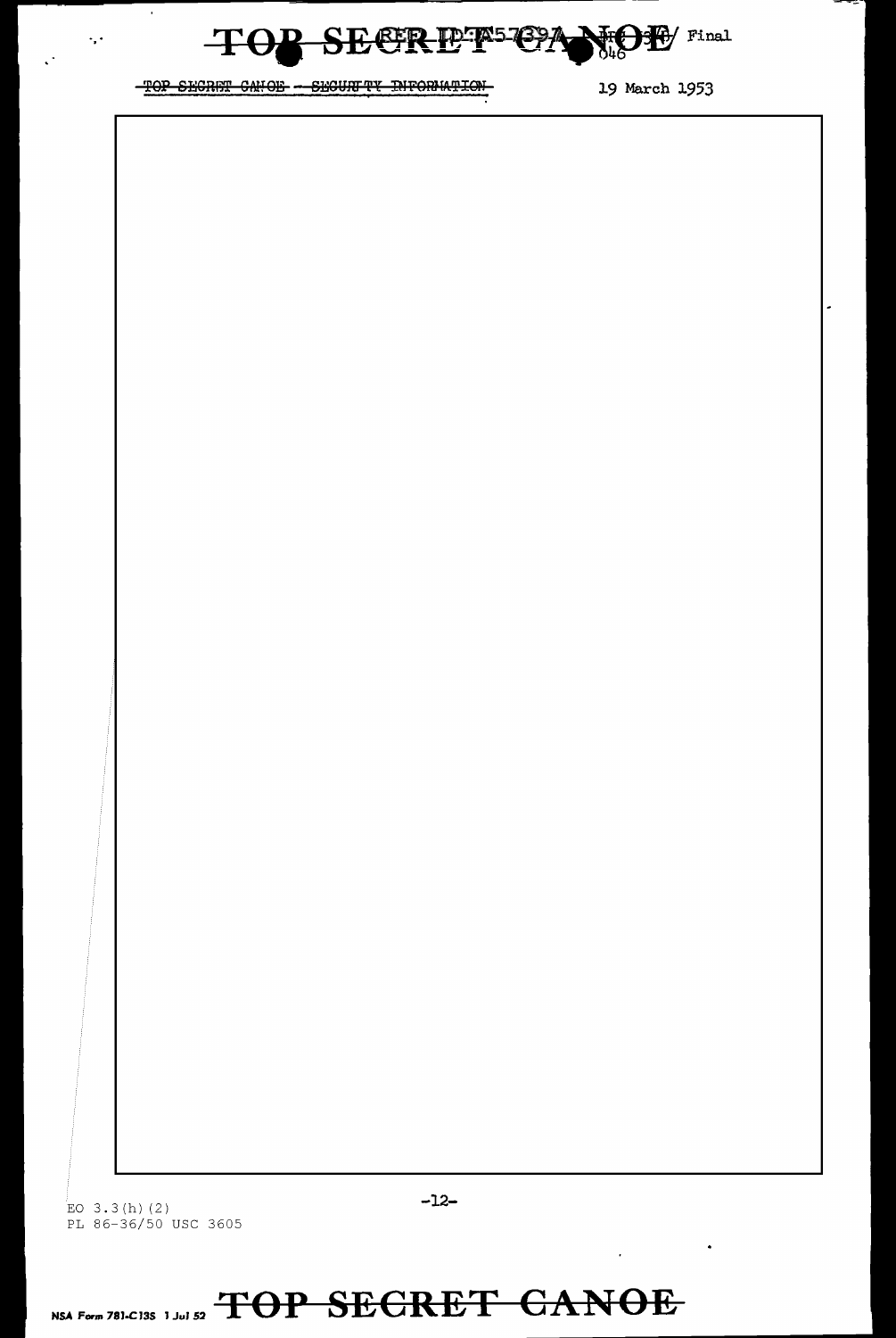

TOP SECRET CANOE - SECURITY INFORMATION 19 March 1953

 $\alpha$ 

 $\langle\cdot,\cdot\rangle$ 

- -

= **12-**<br>EO 3.3(h)(2) - **12-**PL 86-36/50 USC 3605

 $\sim$   $\sim$ 

 $\overline{\phantom{a}}$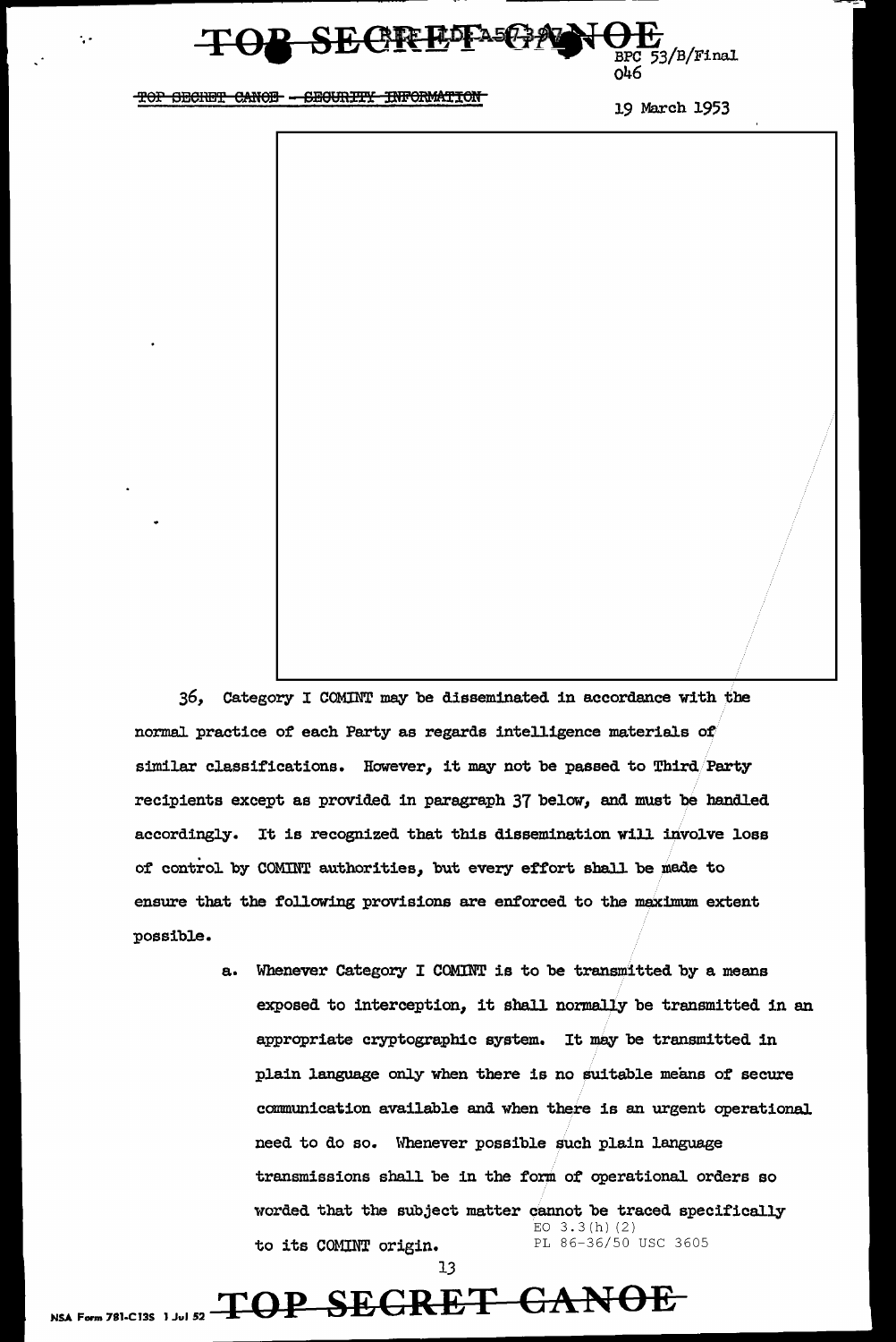

19 March 1953



a. Whenever Category I COMINT is to be transmitted by a means exposed to interception, it shall normally be transmitted in an appropriate cryptographic system. It mey be transmitted in plain language only when there is no suitable means of secure connnunication available and when there is an urgent operational need to do so. Whenever possible such plain language transmissions shall be in the form of operational orders so worded that the subject matter cannot be traced specifically EO  $3.3(h)$  (2) to its COMINT origin. PL 86-36/50 USC 3605

13

## NSA Form 781-C13S 1 Jul 52  $\textcolor{red}{\textbf{TOP}\text{-}\textbf{SEGRET}\text{-}\textbf{GANOE}}$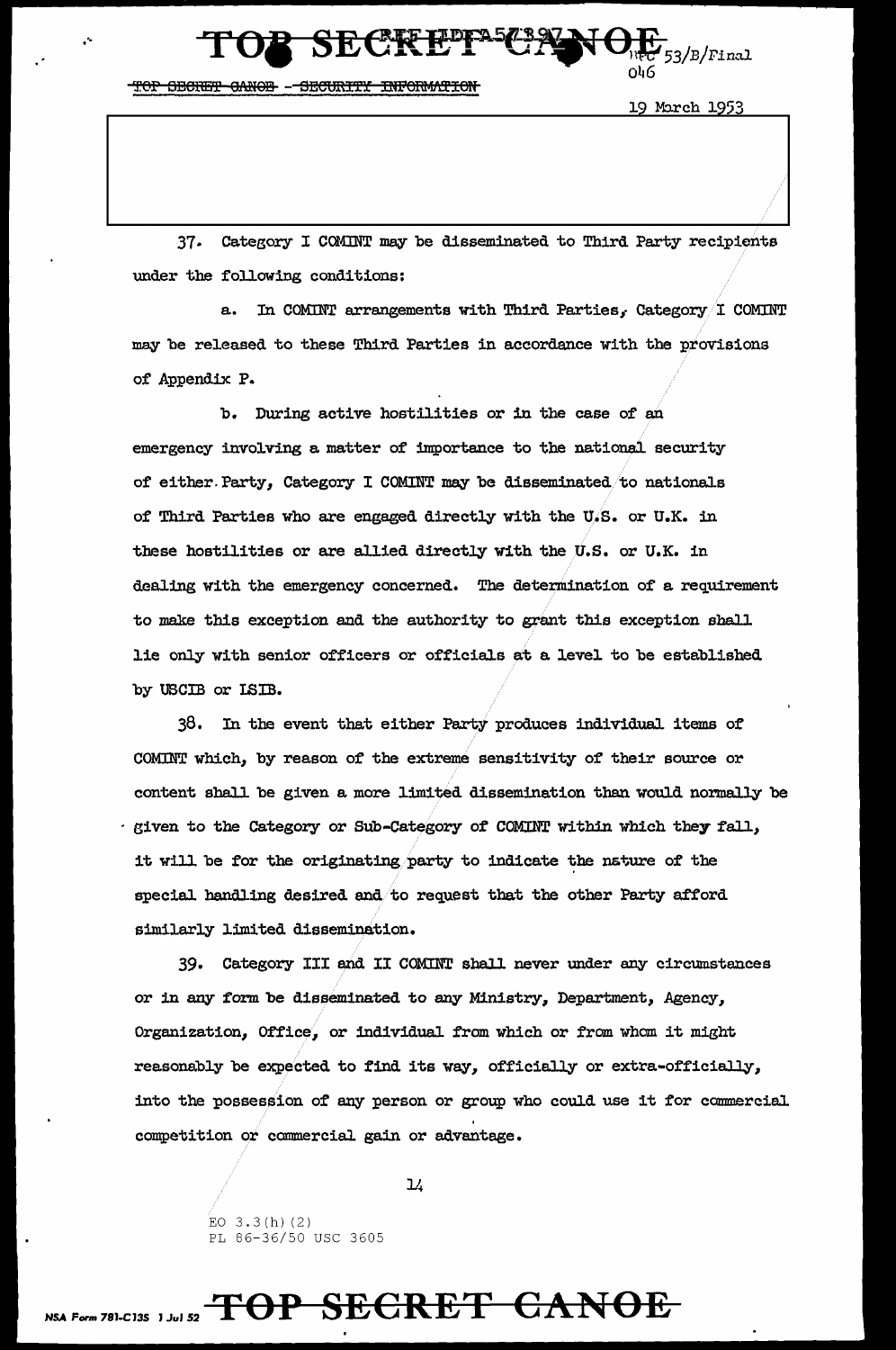HOP OBCRET CANOR -- SECURITY INFORMATION

**SECREF** 

19 March 1953

3/B/Final

37. Category I COMINT may be disseminated to Third Party recipients under the following conditions:

a. In COMINT arrangements with Third Parties, Category I COMINT may be released to these Third Parties in accordance with the provisions of Appendix P.

b. During active hostilities or in the case of an emergency involving a matter of importance to the national security of either Party, Category I COMINT may be disseminated to nationals of Third Parties who are engaged directly with the U.S. or U.K. in these hostilities or are allied directly with the U.S. or U.K. in dealing with the emergency concerned. The determination of a requirement to make this exception and the authority to grant this exception shall lie only with senior officers or officials at a level to be established by USCIB or ISIB.

38. In the event that either Party produces individual items of COMINT which, by reason of the extreme sensitivity of their source or content shall be given a more limited dissemination than would normally be given to the Category or Sub-Category of COMINT within which they fall, it will be for the originating party to indicate the nature of the special handling desired and to request that the other Party afford similarly limited dissemination.

39. Category III and II COMINT shall never under any circumstances or in any form be disseminated to any Ministry, Department, Agency, Organization, Office, or individual from which or from whom it might reasonably be expected to find its way, officially or extra-officially, into the possession of any person or group who could use it for commercial competition or commercial gain or advantage.

 $\mathcal{L}$ 

EO  $3.3(h)$  (2) PL 86-36/50 USC 3605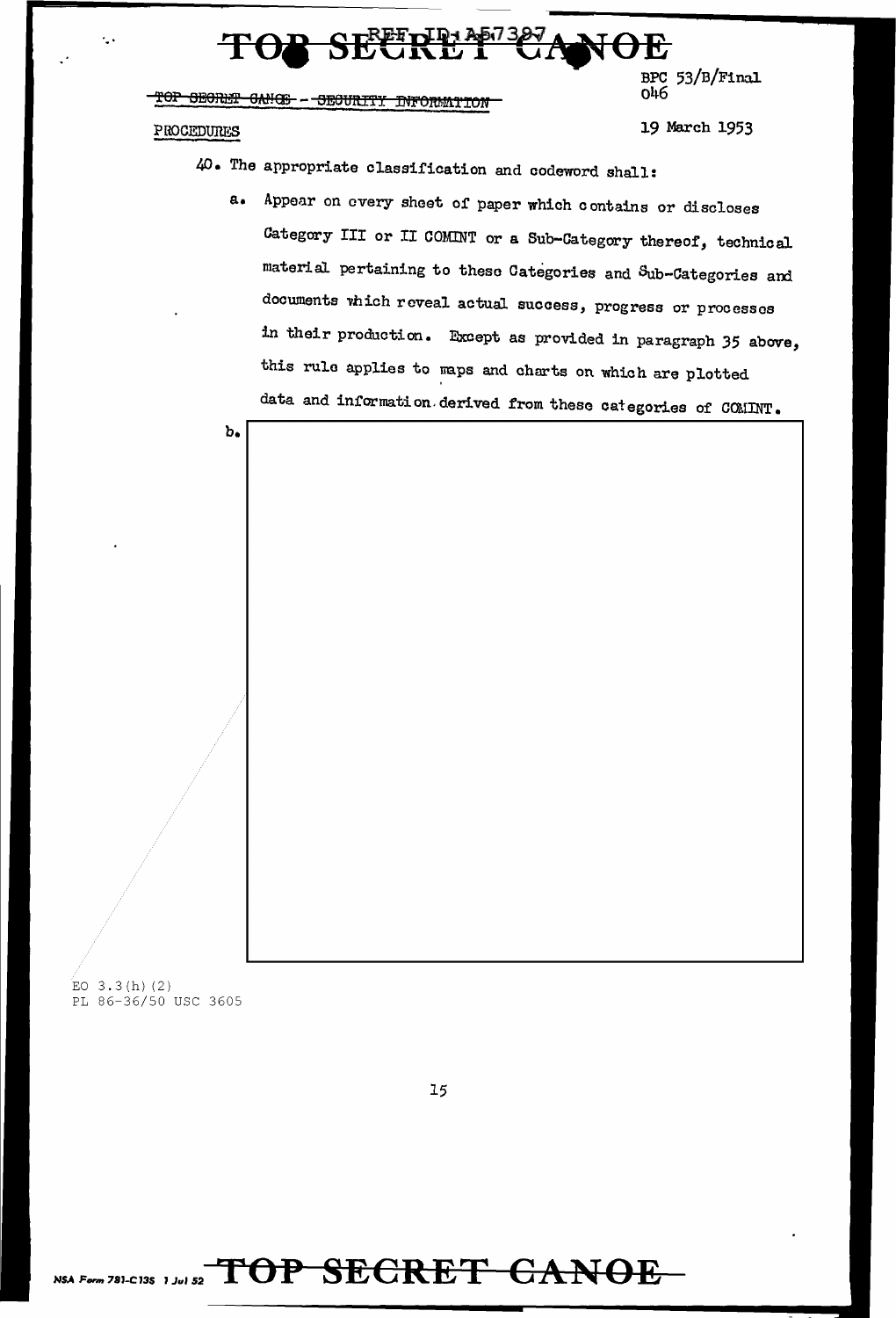

PROCEDURES 19 March 1953

046

BPC 53/B/Final

40. The appropriate classification and codeword shall:

a. Appear on every sheet of paper which contains or discloses Category III or II COMINT or a Sub-Category thereof, technical material pertaining to theso Categories and Sub-Categories and documents vhich reveal actual success, progress or processes in their production. Except as provided in paragraph 35 above, this rulo applies to maps and charts on which are plotted data and information. derived from these categories of COMINT.



EO  $3.3(h)$  (2) PL 86-36/50 USC 3605

15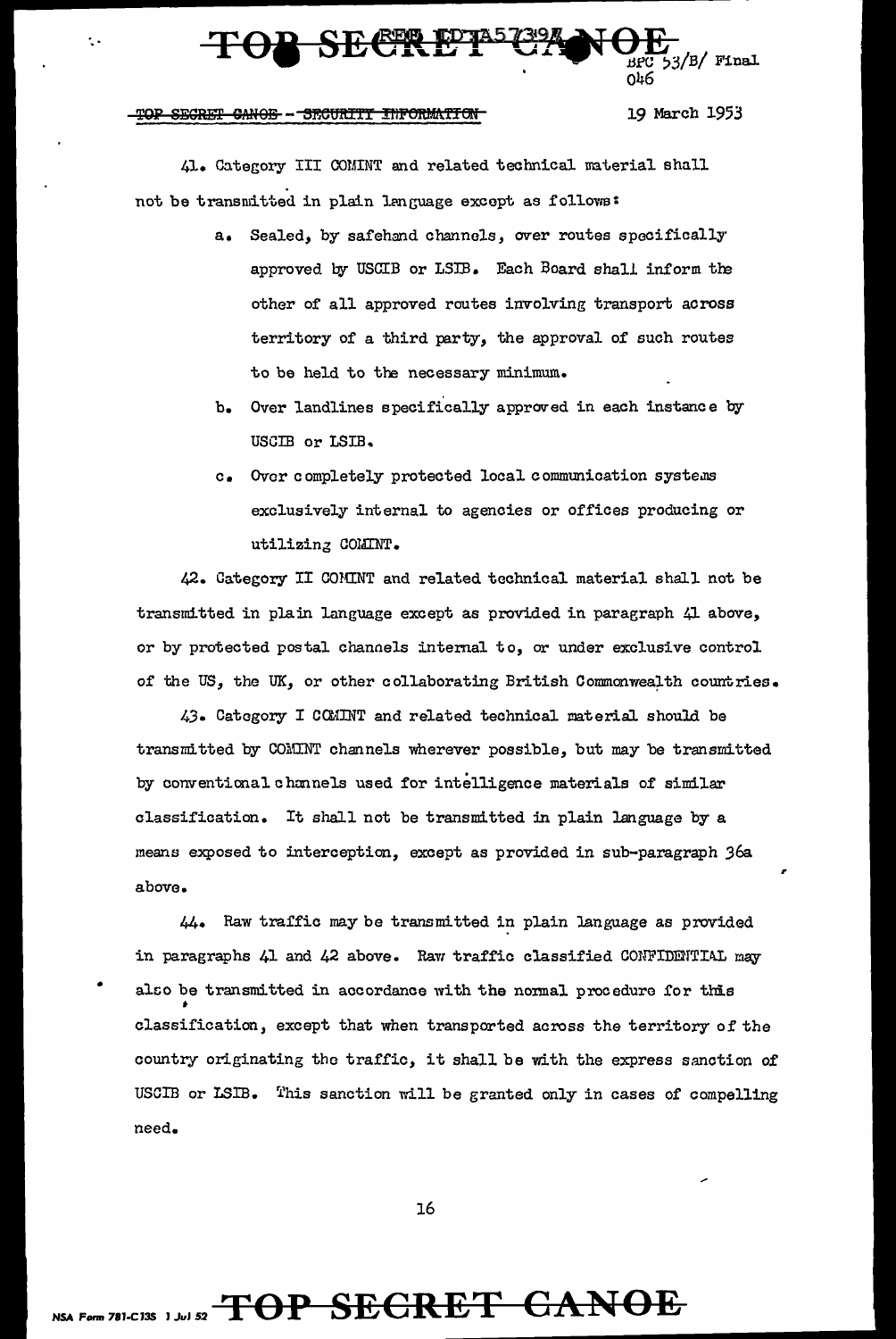

19 March 1953

,.

41. Category III COMINT and related technical material shall not be transmitted in plain language except as follows:

- a. Sealed, by safehand channels, *over* routes specifically approved by USCIB or LSIB. Each Board shall inform the other of all approved routes involving transport across territory of a third party, the approval of such routes to be held to the necessary minimum.
- b. Over landlines specifically approved in each instance by USGIB or LSIB ..
- c. Over completely protected local communication systems exclusively internal to agencies or offices producing or utilizing COMINT.

42. Category II COMINT and related technical material shall not be transmitted in pla:in language except as provided in paragraph 41 above, or by protected postal channels internal to, or under exclusive control of the US, the UK, or other collaborating British Commonwealth countries.

43. Category I CCMINT and related technical material should be transmitted by COMINT channels wherever possible, but may be transmitted by conventional channels used for intelligence materials of similar classification. It shall not be transmitted in plain language by a means exposed to interception, except as provided in sub-paragraph 36a above.

44. Raw traffic may be transmitted in plain language as provided in paragraphs 41 and 42 above. Raw traffic classified CONFIDENTIAL may also be transmitted in accordance with the normal procedure for this classification, except that when transported across the territory of the country originating the traffic, it shall be with the express sanction of USCIB or LSIB. This sanction will be granted only in cases of compelling need.

16

### NSA Form 781-C13S 1 Jul 52 TOP SECRET CANOE

•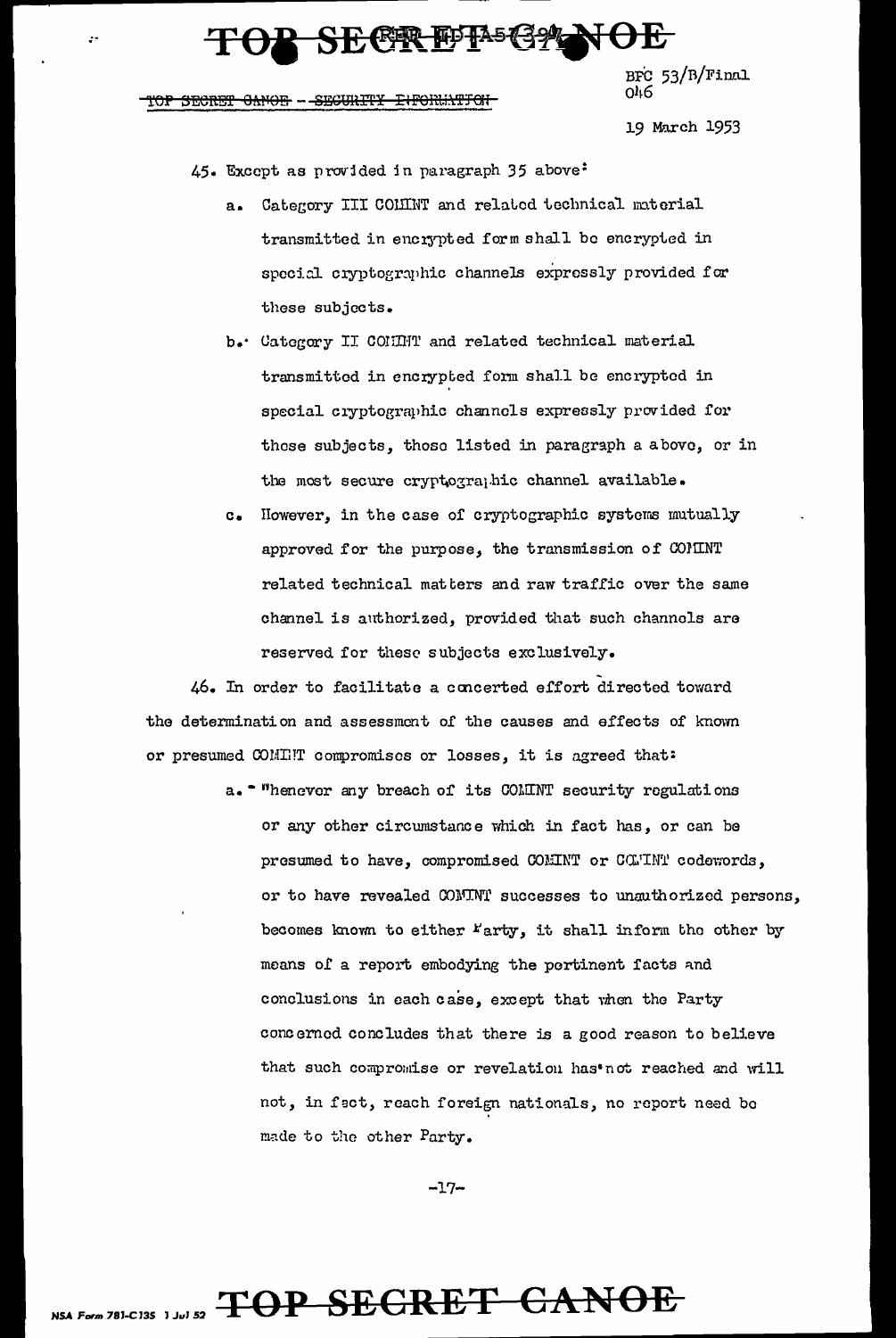### **SECRETEG?**

BFC  $53/R/Final$ <br> $046$ 

### SECRET CANOE - SECURITY INFORMATION

19 March 1953

45. Except as provided in paragraph 35 above:

- Category III COMINT and related technical material  $a_{\bullet}$ transmitted in encrypted form shall be encrypted in special cryptographic channels expressly provided for these subjects.
- b. Category II COMMT and related technical material transmitted in encrypted form shall be encrypted in special cryptographic channels expressly provided for these subjects, those listed in paragraph a above, or in the most secure cryptographic channel available.
- c. However, in the case of cryptographic systems mutually approved for the purpose, the transmission of COMINT related technical matters and raw traffic over the same channel is authorized, provided that such channels are reserved for these subjects exclusively.

46. In order to facilitate a concerted effort directed toward the determination and assessment of the causes and effects of known or presumed COMINT compromises or losses, it is agreed that:

> a. \* "henever any breach of its COMINT security regulations or any other circumstance which in fact has, or can be presumed to have, compromised COMINT or COMINT codewords, or to have revealed COMINT successes to unauthorized persons, becomes known to either "arty, it shall inform the other by means of a report embodying the pertinent facts and conclusions in each case, except that when the Party concerned concludes that there is a good reason to believe that such compromise or revelation has'not reached and will not, in fact, reach foreign nationals, no report need be made to the other Party.

> > $-17-$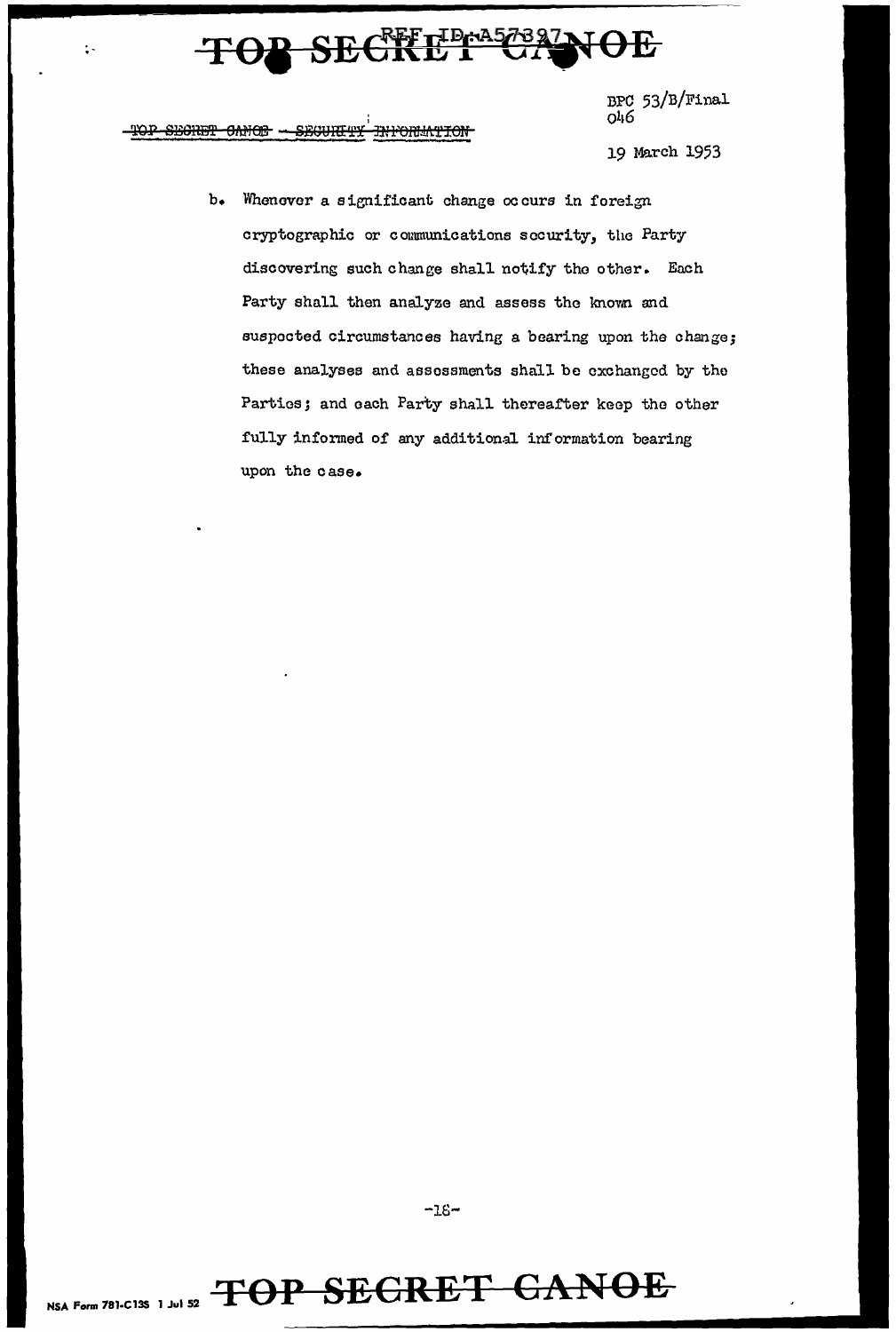#### **REFTIDEA573877** ┣<del>ӱ</del> 于

BPC 53/B/Final v90

I '1'OP SECRET OANOF - SECURE NFORMATION

 $\ddot{\cdot}$ 

19 March 1953

b. Whenever a significant change occurs in foreign cryptographic or communications security, the Party discovering such change shall notify the other. Each Party shall then analyze and assess the known and suspected circumstances having a bearing upon the change; these analysee and assessments shall be exchanged by tho Parties; and each Party shall thereafter keep the other fully informed of any additional information bearing upon the case.

**-16-**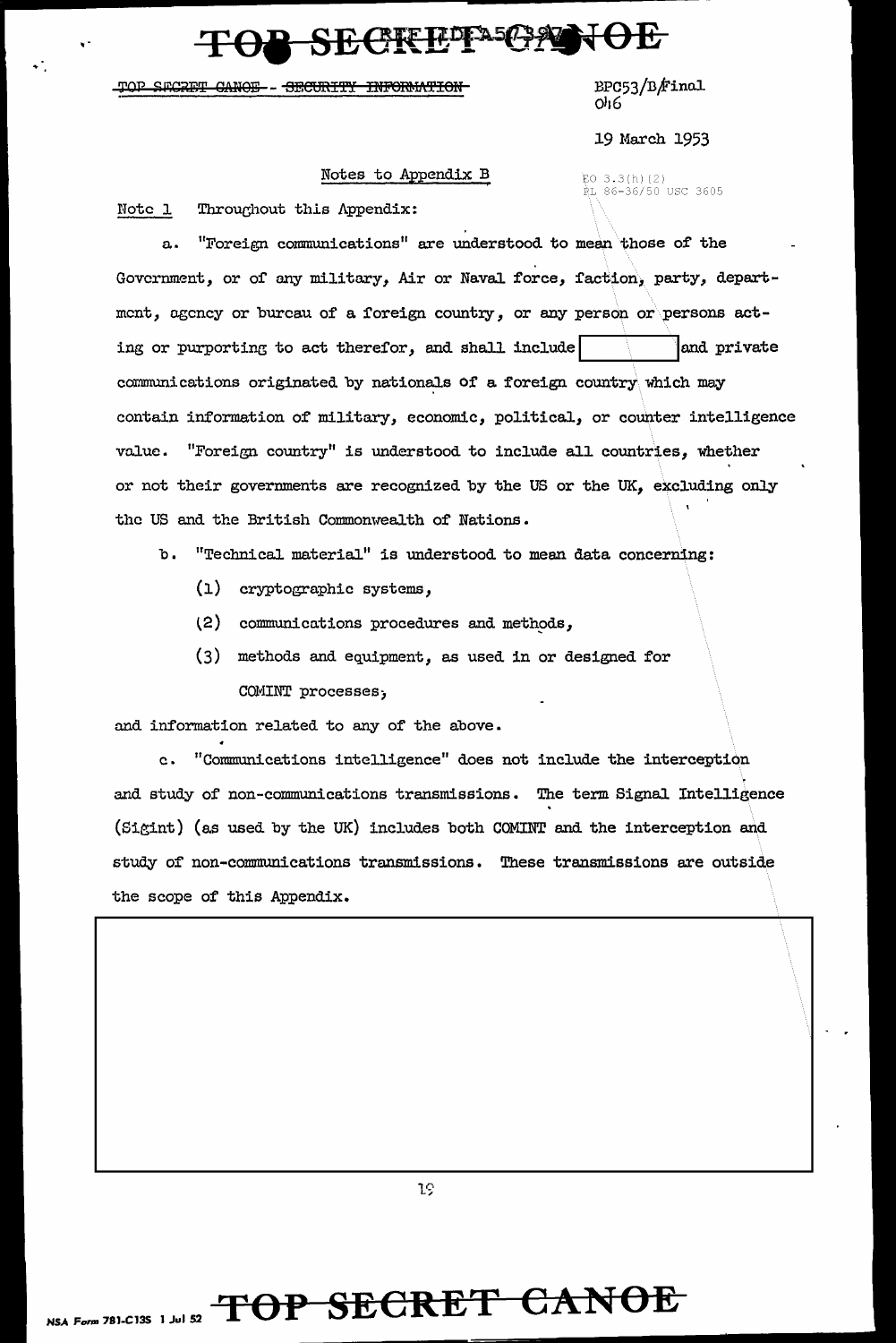### SECREPPAGANOE

#### TOP SECRET CANOE - SECURITY INFORMATION

BPC53/B/Final  $O<sub>16</sub>$ 

19 March 1953

RL 86-36/50 USC 3605

 $FO 3.3(h)(2)$ 

### Notes to Appendix B

Note 1 Throughout this Appendix:

"Foreign communications" are understood to mean those of the  $\Omega_{\text{eff}}$ Government, or of any military, Air or Naval force, faction, party, department, agency or bureau of a foreign country, or any person or persons acting or purporting to act therefor, and shall include and private communications originated by nationals of a foreign country which may contain information of military, economic, political, or counter intelligence value. "Foreign country" is understood to include all countries, whether or not their governments are recognized by the US or the UK, excluding only the US and the British Commonwealth of Nations.

b. "Technical material" is understood to mean data concerning:

- (1) cryptographic systems,
- (2) communications procedures and methods,
- (3) methods and equipment, as used in or designed for COMINT processes,

and information related to any of the above.

"Communications intelligence" does not include the interception  $c_{\bullet}$ and study of non-communications transmissions. The term Signal Intelligence (Sigint) (as used by the UK) includes both COMINT and the interception and study of non-communications transmissions. These transmissions are outside the scope of this Appendix.

19